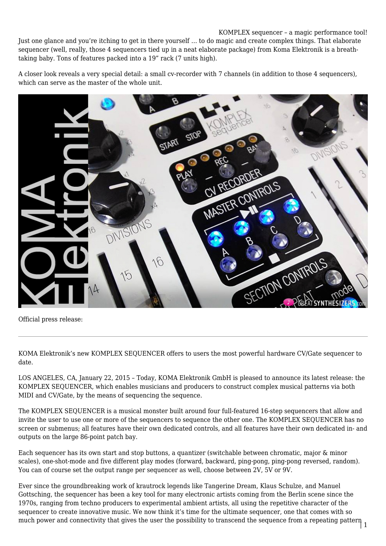## KOMPLEX sequencer – a magic performance tool!

Just one glance and you're itching to get in there yourself … to do magic and create complex things. That elaborate sequencer (well, really, those 4 sequencers tied up in a neat elaborate package) from Koma Elektronik is a breathtaking baby. Tons of features packed into a 19" rack (7 units high).

A closer look reveals a very special detail: a small cv-recorder with 7 channels (in addition to those 4 sequencers), which can serve as the master of the whole unit.



Official press release:

KOMA Elektronik's new KOMPLEX SEQUENCER offers to users the most powerful hardware CV/Gate sequencer to date.

LOS ANGELES, CA, January 22, 2015 – Today, KOMA Elektronik GmbH is pleased to announce its latest release: the KOMPLEX SEQUENCER, which enables musicians and producers to construct complex musical patterns via both MIDI and CV/Gate, by the means of sequencing the sequence.

The KOMPLEX SEQUENCER is a musical monster built around four full-featured 16-step sequencers that allow and invite the user to use one or more of the sequencers to sequence the other one. The KOMPLEX SEQUENCER has no screen or submenus; all features have their own dedicated controls, and all features have their own dedicated in- and outputs on the large 86-point patch bay.

Each sequencer has its own start and stop buttons, a quantizer (switchable between chromatic, major & minor scales), one-shot-mode and five different play modes (forward, backward, ping-pong, ping-pong reversed, random). You can of course set the output range per sequencer as well, choose between 2V, 5V or 9V.

much power and connectivity that gives the user the possibility to transcend the sequence from a repeating pattern  $\frac{1}{1}$ Ever since the groundbreaking work of krautrock legends like Tangerine Dream, Klaus Schulze, and Manuel Gottsching, the sequencer has been a key tool for many electronic artists coming from the Berlin scene since the 1970s, ranging from techno producers to experimental ambient artists, all using the repetitive character of the sequencer to create innovative music. We now think it's time for the ultimate sequencer, one that comes with so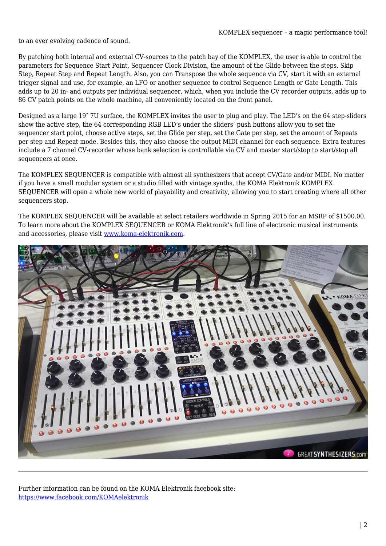to an ever evolving cadence of sound.

By patching both internal and external CV-sources to the patch bay of the KOMPLEX, the user is able to control the parameters for Sequence Start Point, Sequencer Clock Division, the amount of the Glide between the steps, Skip Step, Repeat Step and Repeat Length. Also, you can Transpose the whole sequence via CV, start it with an external trigger signal and use, for example, an LFO or another sequence to control Sequence Length or Gate Length. This adds up to 20 in- and outputs per individual sequencer, which, when you include the CV recorder outputs, adds up to 86 CV patch points on the whole machine, all conveniently located on the front panel.

Designed as a large 19″ 7U surface, the KOMPLEX invites the user to plug and play. The LED's on the 64 step-sliders show the active step, the 64 corresponding RGB LED's under the sliders' push buttons allow you to set the sequencer start point, choose active steps, set the Glide per step, set the Gate per step, set the amount of Repeats per step and Repeat mode. Besides this, they also choose the output MIDI channel for each sequence. Extra features include a 7 channel CV-recorder whose bank selection is controllable via CV and master start/stop to start/stop all sequencers at once.

The KOMPLEX SEQUENCER is compatible with almost all synthesizers that accept CV/Gate and/or MIDI. No matter if you have a small modular system or a studio filled with vintage synths, the KOMA Elektronik KOMPLEX SEQUENCER will open a whole new world of playability and creativity, allowing you to start creating where all other sequencers stop.

The KOMPLEX SEQUENCER will be available at select retailers worldwide in Spring 2015 for an MSRP of \$1500.00. To learn more about the KOMPLEX SEQUENCER or KOMA Elektronik's full line of electronic musical instruments and accessories, please visit [www.koma-elektronik.com](http://www.koma-elektronik.com).



Further information can be found on the KOMA Elektronik facebook site: <https://www.facebook.com/KOMAelektronik>